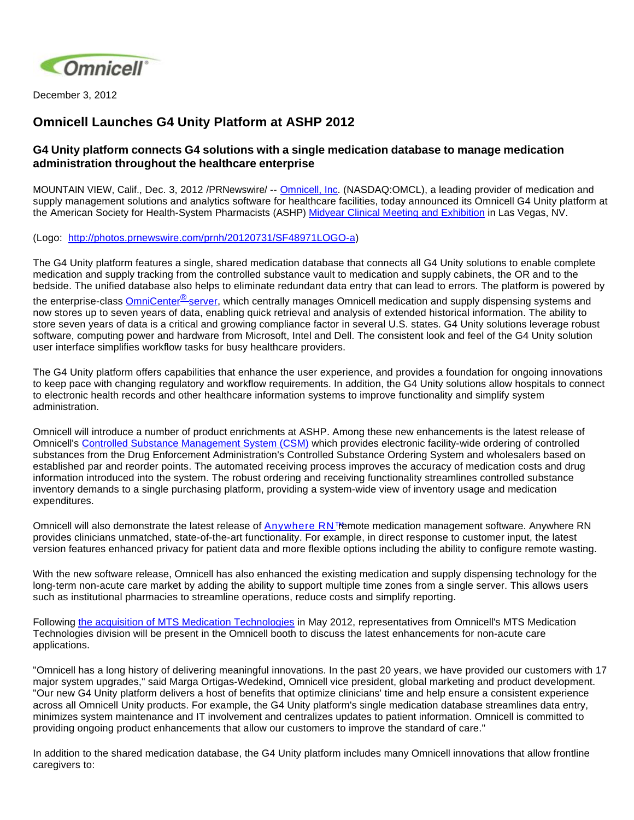

December 3, 2012

## **Omnicell Launches G4 Unity Platform at ASHP 2012**

## **G4 Unity platform connects G4 solutions with a single medication database to manage medication administration throughout the healthcare enterprise**

MOUNTAIN VIEW, Calif., Dec. 3, 2012 /PRNewswire/ -- [Omnicell, Inc](http://www.omnicell.com/). (NASDAQ:OMCL), a leading provider of medication and supply management solutions and analytics software for healthcare facilities, today announced its Omnicell G4 Unity platform at the American Society for Health-System Pharmacists (ASHP) [Midyear Clinical Meeting and Exhibition](http://connect.ashp.org/midyear2012/Home/) in Las Vegas, NV.

(Logo: <http://photos.prnewswire.com/prnh/20120731/SF48971LOGO-a>)

The G4 Unity platform features a single, shared medication database that connects all G4 Unity solutions to enable complete medication and supply tracking from the controlled substance vault to medication and supply cabinets, the OR and to the bedside. The unified database also helps to eliminate redundant data entry that can lead to errors. The platform is powered by

the enterprise-class **OmniCenter<sup>®</sup> server**, which centrally manages Omnicell medication and supply dispensing systems and now stores up to seven years of data, enabling quick retrieval and analysis of extended historical information. The ability to store seven years of data is a critical and growing compliance factor in several U.S. states. G4 Unity solutions leverage robust software, computing power and hardware from Microsoft, Intel and Dell. The consistent look and feel of the G4 Unity solution user interface simplifies workflow tasks for busy healthcare providers.

The G4 Unity platform offers capabilities that enhance the user experience, and provides a foundation for ongoing innovations to keep pace with changing regulatory and workflow requirements. In addition, the G4 Unity solutions allow hospitals to connect to electronic health records and other healthcare information systems to improve functionality and simplify system administration.

Omnicell will introduce a number of product enrichments at ASHP. Among these new enhancements is the latest release of Omnicell's [Controlled Substance Management System \(CSM\)](http://www.omnicell.com/Products/Central_Pharmacy_Automation/Controlled_Substance_Management_System.aspx) which provides electronic facility-wide ordering of controlled substances from the Drug Enforcement Administration's Controlled Substance Ordering System and wholesalers based on established par and reorder points. The automated receiving process improves the accuracy of medication costs and drug information introduced into the system. The robust ordering and receiving functionality streamlines controlled substance inventory demands to a single purchasing platform, providing a system-wide view of inventory usage and medication expenditures.

Omnicell will also demonstrate the latest release of [Anywhere RN™](http://www.omnicell.com/Products/Medication_Dispensing/Anywhere_RN_Remote_Medication_Management.aspx) emote medication management software. Anywhere RN provides clinicians unmatched, state-of-the-art functionality. For example, in direct response to customer input, the latest version features enhanced privacy for patient data and more flexible options including the ability to configure remote wasting.

With the new software release, Omnicell has also enhanced the existing medication and supply dispensing technology for the long-term non-acute care market by adding the ability to support multiple time zones from a single server. This allows users such as institutional pharmacies to streamline operations, reduce costs and simplify reporting.

Following [the acquisition of MTS Medication Technologies](http://www.omnicell.com/News_and_Events/Press_Releases/Omnicell_Closes_Acquisition_of_MTS_Medication_Technologies.aspx) in May 2012, representatives from Omnicell's MTS Medication Technologies division will be present in the Omnicell booth to discuss the latest enhancements for non-acute care applications.

"Omnicell has a long history of delivering meaningful innovations. In the past 20 years, we have provided our customers with 17 major system upgrades," said Marga Ortigas-Wedekind, Omnicell vice president, global marketing and product development. "Our new G4 Unity platform delivers a host of benefits that optimize clinicians' time and help ensure a consistent experience across all Omnicell Unity products. For example, the G4 Unity platform's single medication database streamlines data entry, minimizes system maintenance and IT involvement and centralizes updates to patient information. Omnicell is committed to providing ongoing product enhancements that allow our customers to improve the standard of care."

In addition to the shared medication database, the G4 Unity platform includes many Omnicell innovations that allow frontline caregivers to: